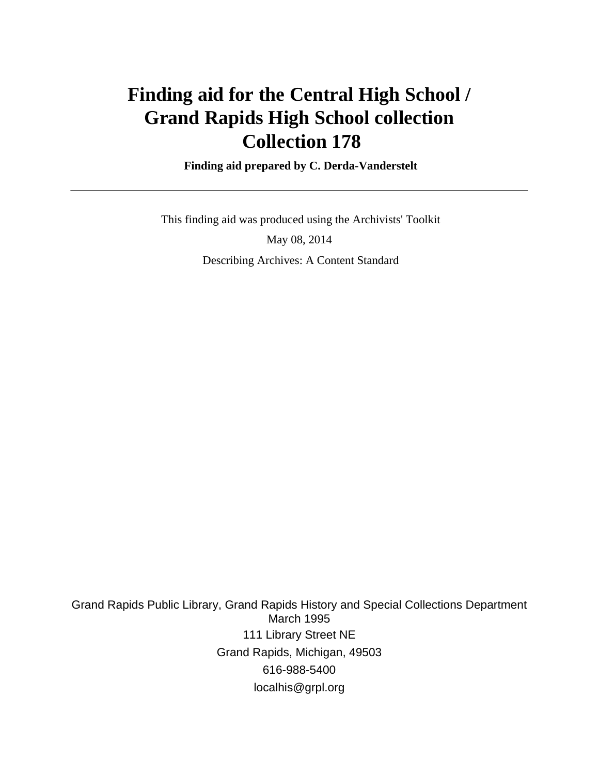# **Finding aid for the Central High School / Grand Rapids High School collection Collection 178**

 **Finding aid prepared by C. Derda-Vanderstelt**

 This finding aid was produced using the Archivists' Toolkit May 08, 2014 Describing Archives: A Content Standard

Grand Rapids Public Library, Grand Rapids History and Special Collections Department March 1995 111 Library Street NE Grand Rapids, Michigan, 49503 616-988-5400 localhis@grpl.org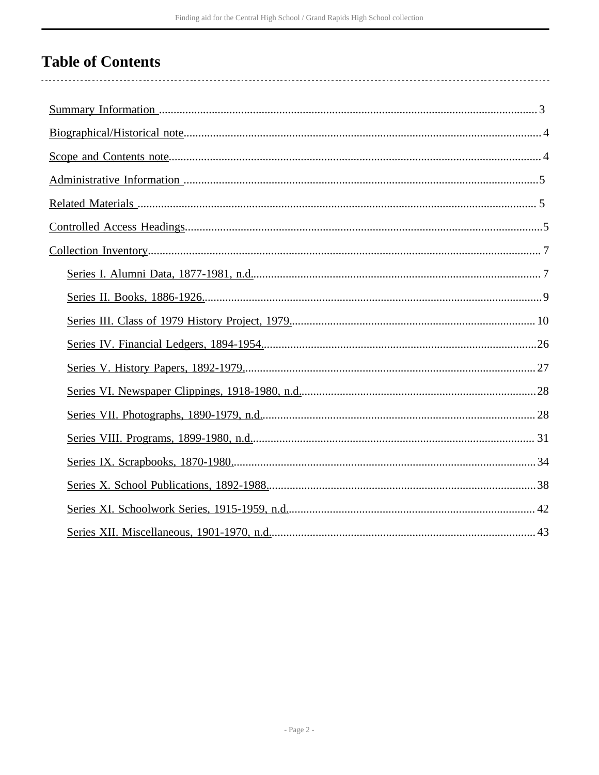# **Table of Contents**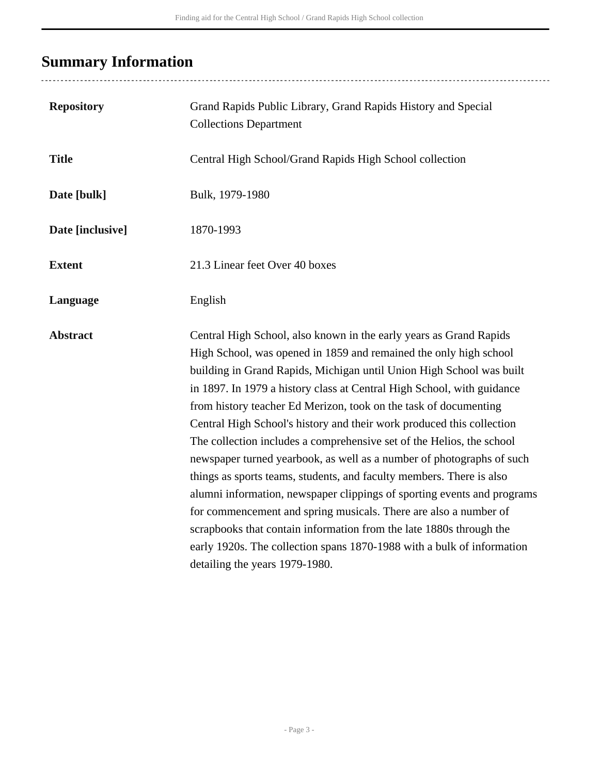# <span id="page-2-0"></span>**Summary Information**

| <b>Repository</b> | Grand Rapids Public Library, Grand Rapids History and Special<br><b>Collections Department</b>                                                                                                                                                                                                                                                                                                                                                                                                                                                                                                                                                                                                                                                                                                                                                                                                                                                                                                     |
|-------------------|----------------------------------------------------------------------------------------------------------------------------------------------------------------------------------------------------------------------------------------------------------------------------------------------------------------------------------------------------------------------------------------------------------------------------------------------------------------------------------------------------------------------------------------------------------------------------------------------------------------------------------------------------------------------------------------------------------------------------------------------------------------------------------------------------------------------------------------------------------------------------------------------------------------------------------------------------------------------------------------------------|
| <b>Title</b>      | Central High School/Grand Rapids High School collection                                                                                                                                                                                                                                                                                                                                                                                                                                                                                                                                                                                                                                                                                                                                                                                                                                                                                                                                            |
| Date [bulk]       | Bulk, 1979-1980                                                                                                                                                                                                                                                                                                                                                                                                                                                                                                                                                                                                                                                                                                                                                                                                                                                                                                                                                                                    |
| Date [inclusive]  | 1870-1993                                                                                                                                                                                                                                                                                                                                                                                                                                                                                                                                                                                                                                                                                                                                                                                                                                                                                                                                                                                          |
| <b>Extent</b>     | 21.3 Linear feet Over 40 boxes                                                                                                                                                                                                                                                                                                                                                                                                                                                                                                                                                                                                                                                                                                                                                                                                                                                                                                                                                                     |
| Language          | English                                                                                                                                                                                                                                                                                                                                                                                                                                                                                                                                                                                                                                                                                                                                                                                                                                                                                                                                                                                            |
| <b>Abstract</b>   | Central High School, also known in the early years as Grand Rapids<br>High School, was opened in 1859 and remained the only high school<br>building in Grand Rapids, Michigan until Union High School was built<br>in 1897. In 1979 a history class at Central High School, with guidance<br>from history teacher Ed Merizon, took on the task of documenting<br>Central High School's history and their work produced this collection<br>The collection includes a comprehensive set of the Helios, the school<br>newspaper turned yearbook, as well as a number of photographs of such<br>things as sports teams, students, and faculty members. There is also<br>alumni information, newspaper clippings of sporting events and programs<br>for commencement and spring musicals. There are also a number of<br>scrapbooks that contain information from the late 1880s through the<br>early 1920s. The collection spans 1870-1988 with a bulk of information<br>detailing the years 1979-1980. |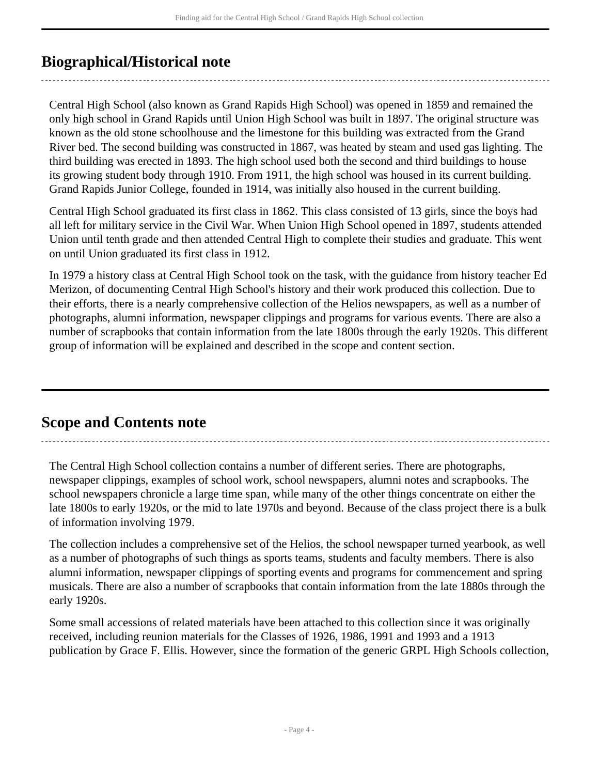## <span id="page-3-0"></span>**Biographical/Historical note**

Central High School (also known as Grand Rapids High School) was opened in 1859 and remained the only high school in Grand Rapids until Union High School was built in 1897. The original structure was known as the old stone schoolhouse and the limestone for this building was extracted from the Grand River bed. The second building was constructed in 1867, was heated by steam and used gas lighting. The third building was erected in 1893. The high school used both the second and third buildings to house its growing student body through 1910. From 1911, the high school was housed in its current building. Grand Rapids Junior College, founded in 1914, was initially also housed in the current building.

Central High School graduated its first class in 1862. This class consisted of 13 girls, since the boys had all left for military service in the Civil War. When Union High School opened in 1897, students attended Union until tenth grade and then attended Central High to complete their studies and graduate. This went on until Union graduated its first class in 1912.

In 1979 a history class at Central High School took on the task, with the guidance from history teacher Ed Merizon, of documenting Central High School's history and their work produced this collection. Due to their efforts, there is a nearly comprehensive collection of the Helios newspapers, as well as a number of photographs, alumni information, newspaper clippings and programs for various events. There are also a number of scrapbooks that contain information from the late 1800s through the early 1920s. This different group of information will be explained and described in the scope and content section.

## <span id="page-3-1"></span>**Scope and Contents note**

The Central High School collection contains a number of different series. There are photographs, newspaper clippings, examples of school work, school newspapers, alumni notes and scrapbooks. The school newspapers chronicle a large time span, while many of the other things concentrate on either the late 1800s to early 1920s, or the mid to late 1970s and beyond. Because of the class project there is a bulk of information involving 1979.

The collection includes a comprehensive set of the Helios, the school newspaper turned yearbook, as well as a number of photographs of such things as sports teams, students and faculty members. There is also alumni information, newspaper clippings of sporting events and programs for commencement and spring musicals. There are also a number of scrapbooks that contain information from the late 1880s through the early 1920s.

Some small accessions of related materials have been attached to this collection since it was originally received, including reunion materials for the Classes of 1926, 1986, 1991 and 1993 and a 1913 publication by Grace F. Ellis. However, since the formation of the generic GRPL High Schools collection,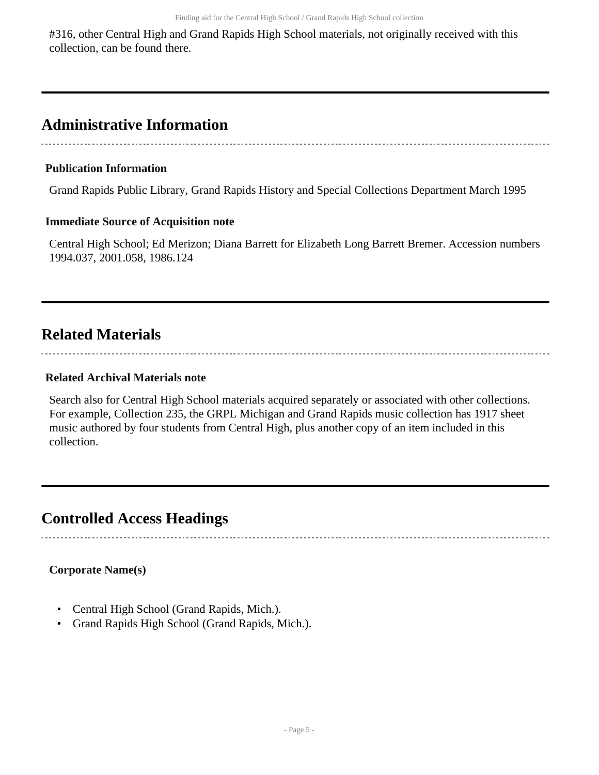#316, other Central High and Grand Rapids High School materials, not originally received with this collection, can be found there.

## <span id="page-4-0"></span>**Administrative Information**

## **Publication Information**

Grand Rapids Public Library, Grand Rapids History and Special Collections Department March 1995

## **Immediate Source of Acquisition note**

Central High School; Ed Merizon; Diana Barrett for Elizabeth Long Barrett Bremer. Accession numbers 1994.037, 2001.058, 1986.124

## <span id="page-4-1"></span>**Related Materials**

## **Related Archival Materials note**

Search also for Central High School materials acquired separately or associated with other collections. For example, Collection 235, the GRPL Michigan and Grand Rapids music collection has 1917 sheet music authored by four students from Central High, plus another copy of an item included in this collection.

## <span id="page-4-2"></span>**Controlled Access Headings**

## **Corporate Name(s)**

- Central High School (Grand Rapids, Mich.).
- Grand Rapids High School (Grand Rapids, Mich.).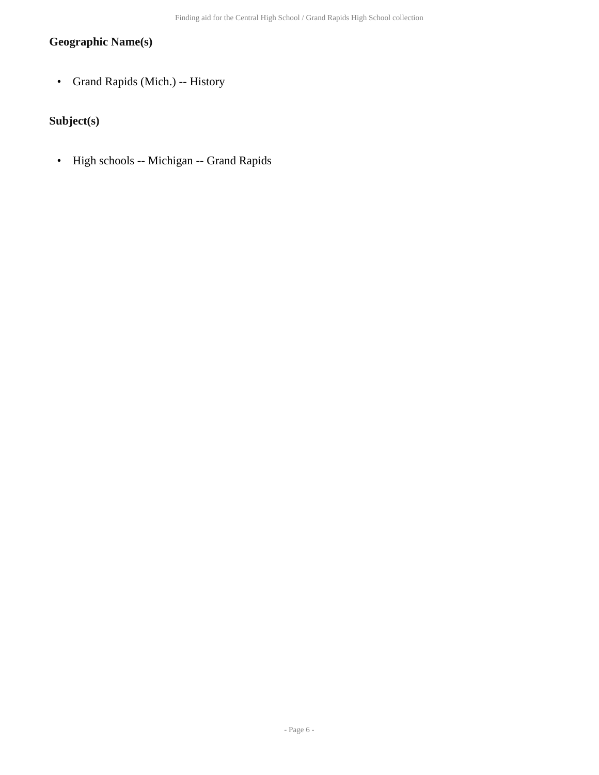## **Geographic Name(s)**

• Grand Rapids (Mich.) -- History

## **Subject(s)**

• High schools -- Michigan -- Grand Rapids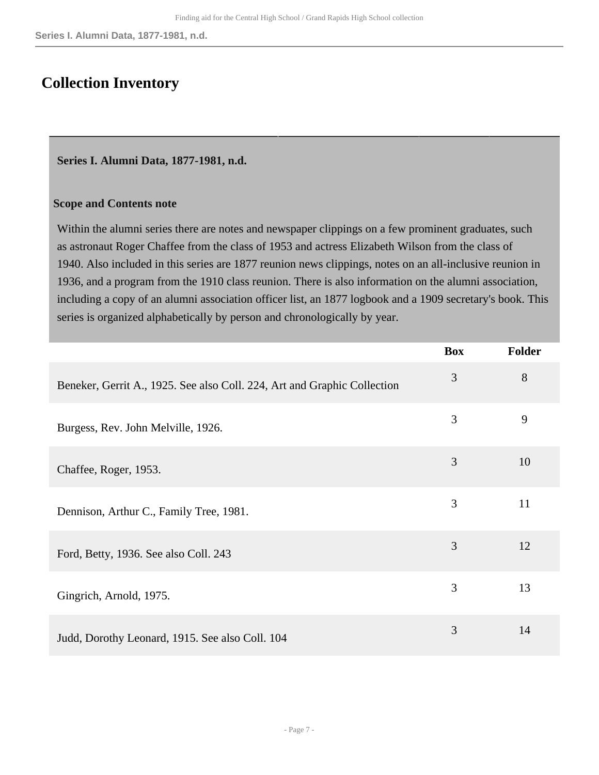## <span id="page-6-0"></span>**Collection Inventory**

## <span id="page-6-1"></span>**Series I. Alumni Data, 1877-1981, n.d.**

## **Scope and Contents note**

Within the alumni series there are notes and newspaper clippings on a few prominent graduates, such as astronaut Roger Chaffee from the class of 1953 and actress Elizabeth Wilson from the class of 1940. Also included in this series are 1877 reunion news clippings, notes on an all-inclusive reunion in 1936, and a program from the 1910 class reunion. There is also information on the alumni association, including a copy of an alumni association officer list, an 1877 logbook and a 1909 secretary's book. This series is organized alphabetically by person and chronologically by year.

|                                                                          | <b>Box</b> | <b>Folder</b> |
|--------------------------------------------------------------------------|------------|---------------|
| Beneker, Gerrit A., 1925. See also Coll. 224, Art and Graphic Collection | 3          | 8             |
| Burgess, Rev. John Melville, 1926.                                       | 3          | 9             |
| Chaffee, Roger, 1953.                                                    | 3          | 10            |
| Dennison, Arthur C., Family Tree, 1981.                                  | 3          | 11            |
| Ford, Betty, 1936. See also Coll. 243                                    | 3          | 12            |
| Gingrich, Arnold, 1975.                                                  | 3          | 13            |
| Judd, Dorothy Leonard, 1915. See also Coll. 104                          | 3          | 14            |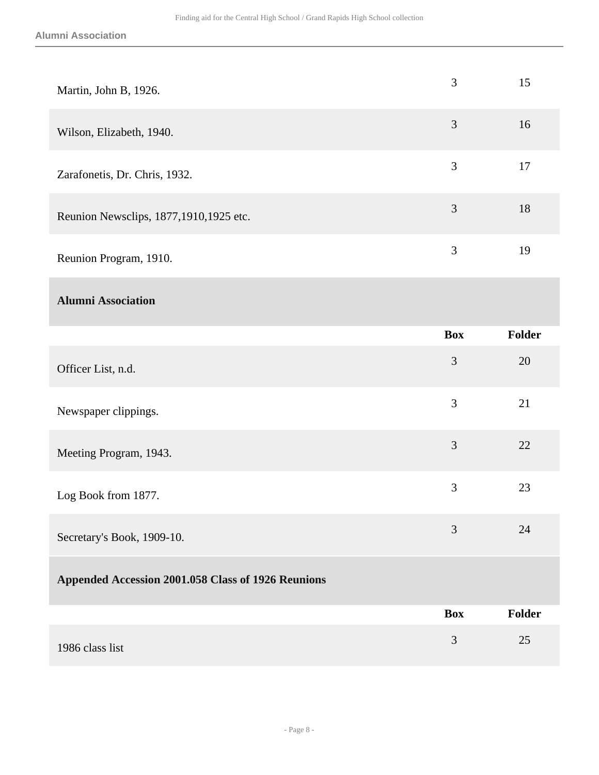| Martin, John B, 1926.                              | $\mathfrak{Z}$ | 15     |
|----------------------------------------------------|----------------|--------|
| Wilson, Elizabeth, 1940.                           | $\mathfrak{Z}$ | 16     |
| Zarafonetis, Dr. Chris, 1932.                      | 3              | 17     |
| Reunion Newsclips, 1877,1910,1925 etc.             | $\mathfrak{Z}$ | 18     |
| Reunion Program, 1910.                             | 3              | 19     |
| <b>Alumni Association</b>                          |                |        |
|                                                    | <b>Box</b>     | Folder |
| Officer List, n.d.                                 | $\mathfrak{Z}$ | 20     |
| Newspaper clippings.                               | 3              | 21     |
| Meeting Program, 1943.                             | 3              | 22     |
| Log Book from 1877.                                | 3              | 23     |
| Secretary's Book, 1909-10.                         | 3              | 24     |
| Appended Accession 2001.058 Class of 1926 Reunions |                |        |
|                                                    | <b>Box</b>     | Folder |
| 1986 class list                                    | $\mathfrak{Z}$ | 25     |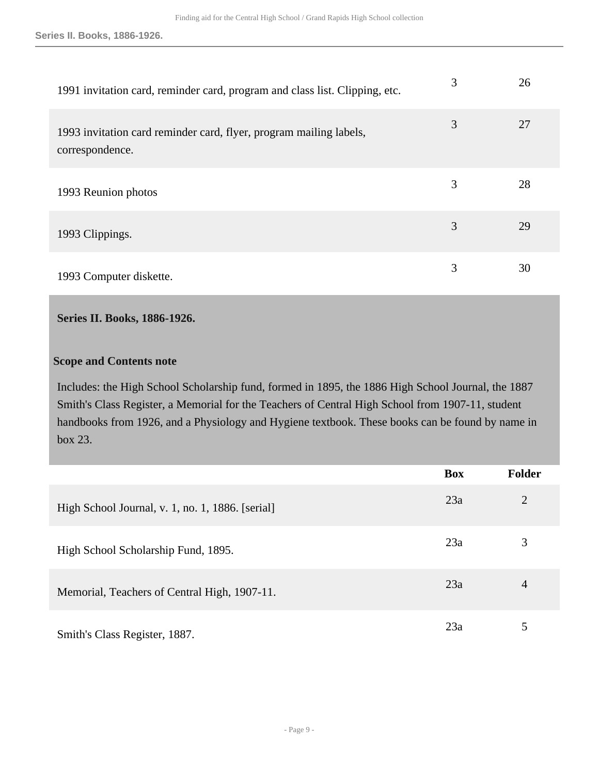**Series II. Books, 1886-1926.**

| 1991 invitation card, reminder card, program and class list. Clipping, etc.           | 3 | 26 |
|---------------------------------------------------------------------------------------|---|----|
| 1993 invitation card reminder card, flyer, program mailing labels,<br>correspondence. | 3 | 27 |
| 1993 Reunion photos                                                                   | 3 | 28 |
| 1993 Clippings.                                                                       | 3 | 29 |
| 1993 Computer diskette.                                                               | 3 | 30 |

## <span id="page-8-0"></span>**Series II. Books, 1886-1926.**

#### **Scope and Contents note**

Includes: the High School Scholarship fund, formed in 1895, the 1886 High School Journal, the 1887 Smith's Class Register, a Memorial for the Teachers of Central High School from 1907-11, student handbooks from 1926, and a Physiology and Hygiene textbook. These books can be found by name in box 23.

|                                                  | <b>Box</b> | <b>Folder</b>  |
|--------------------------------------------------|------------|----------------|
| High School Journal, v. 1, no. 1, 1886. [serial] | 23a        | $\overline{2}$ |
| High School Scholarship Fund, 1895.              | 23a        | 3              |
| Memorial, Teachers of Central High, 1907-11.     | 23a        | 4              |
| Smith's Class Register, 1887.                    | 23a        | 5              |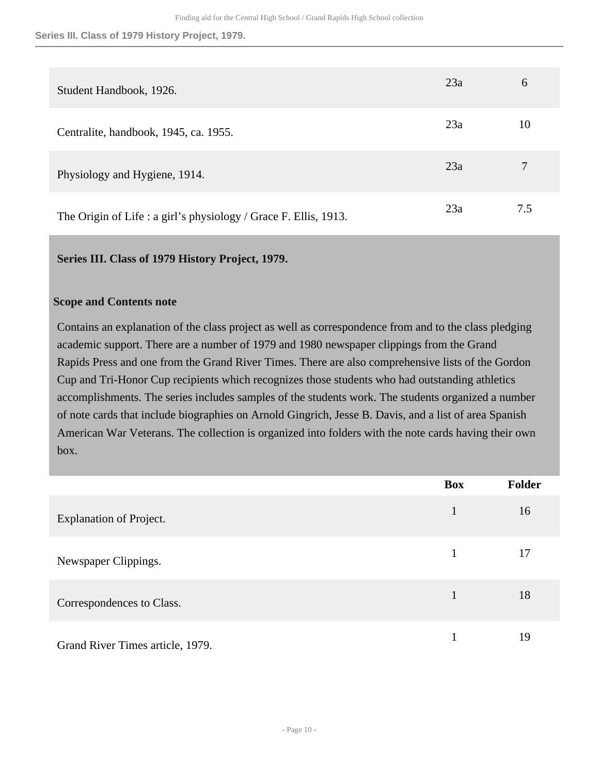**Series III. Class of 1979 History Project, 1979.**

| Student Handbook, 1926.                                          | 23a | 6   |
|------------------------------------------------------------------|-----|-----|
| Centralite, handbook, 1945, ca. 1955.                            | 23a | 10  |
| Physiology and Hygiene, 1914.                                    | 23a |     |
| The Origin of Life : a girl's physiology / Grace F. Ellis, 1913. | 23a | 7.5 |

#### <span id="page-9-0"></span>**Series III. Class of 1979 History Project, 1979.**

#### **Scope and Contents note**

Contains an explanation of the class project as well as correspondence from and to the class pledging academic support. There are a number of 1979 and 1980 newspaper clippings from the Grand Rapids Press and one from the Grand River Times. There are also comprehensive lists of the Gordon Cup and Tri-Honor Cup recipients which recognizes those students who had outstanding athletics accomplishments. The series includes samples of the students work. The students organized a number of note cards that include biographies on Arnold Gingrich, Jesse B. Davis, and a list of area Spanish American War Veterans. The collection is organized into folders with the note cards having their own box.

|                                  | <b>Box</b> | <b>Folder</b> |
|----------------------------------|------------|---------------|
| <b>Explanation of Project.</b>   | 1          | 16            |
| Newspaper Clippings.             | 1          | 17            |
| Correspondences to Class.        | 1          | 18            |
| Grand River Times article, 1979. |            | 19            |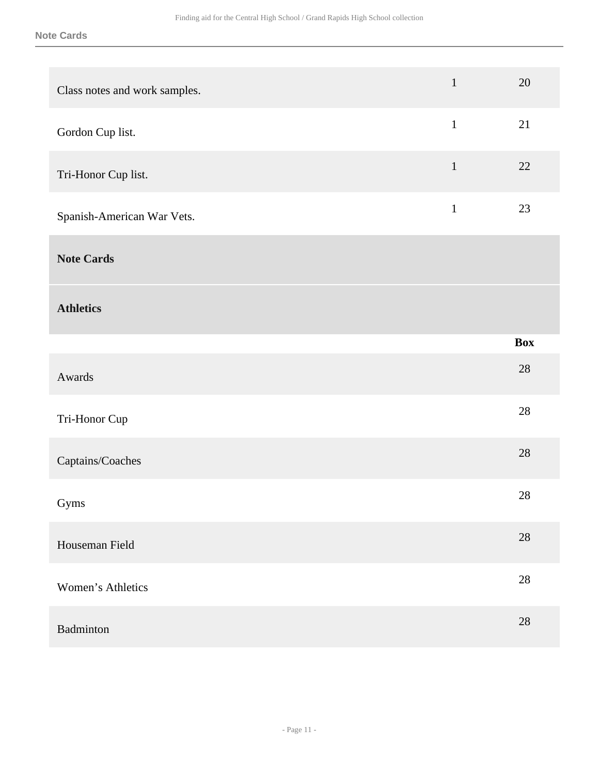**Note Cards**

| Class notes and work samples. | $\mathbf{1}$ | 20         |
|-------------------------------|--------------|------------|
| Gordon Cup list.              | $\mathbf{1}$ | 21         |
| Tri-Honor Cup list.           | $\mathbf 1$  | 22         |
| Spanish-American War Vets.    | $\mathbf{1}$ | $23\,$     |
| <b>Note Cards</b>             |              |            |
| <b>Athletics</b>              |              |            |
|                               |              | <b>Box</b> |
|                               |              |            |
| Awards                        |              | $28\,$     |
| Tri-Honor Cup                 |              | 28         |
| Captains/Coaches              |              | $28\,$     |
| Gyms                          |              | $28\,$     |
| Houseman Field                |              | $28\,$     |
| Women's Athletics             |              | $28\,$     |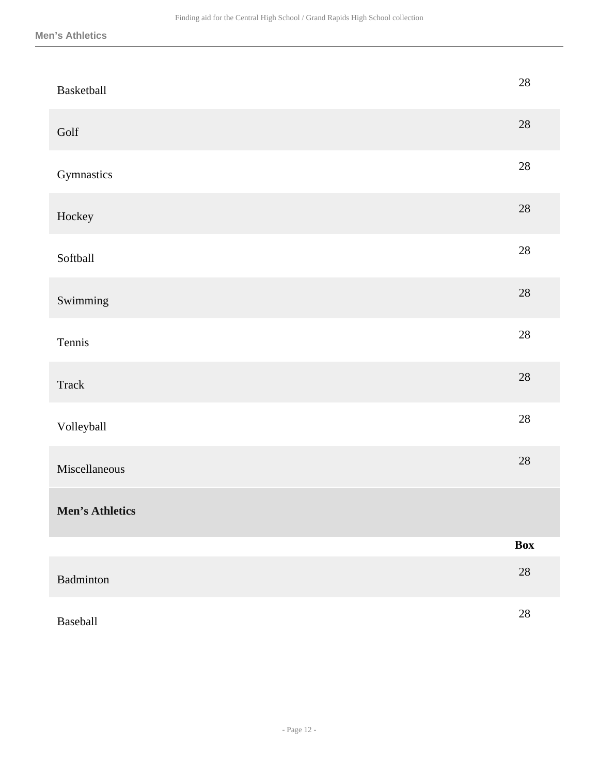| Basketball             | 28         |
|------------------------|------------|
| Golf                   | $28\,$     |
| Gymnastics             | $28\,$     |
| Hockey                 | $28\,$     |
| Softball               | $28\,$     |
| Swimming               | $28\,$     |
| Tennis                 | $28\,$     |
| Track                  | $28\,$     |
| Volleyball             | $28\,$     |
| Miscellaneous          | $28\,$     |
| <b>Men's Athletics</b> |            |
|                        | <b>Box</b> |
| <b>Badminton</b>       | $28\,$     |
| Baseball               | $28\,$     |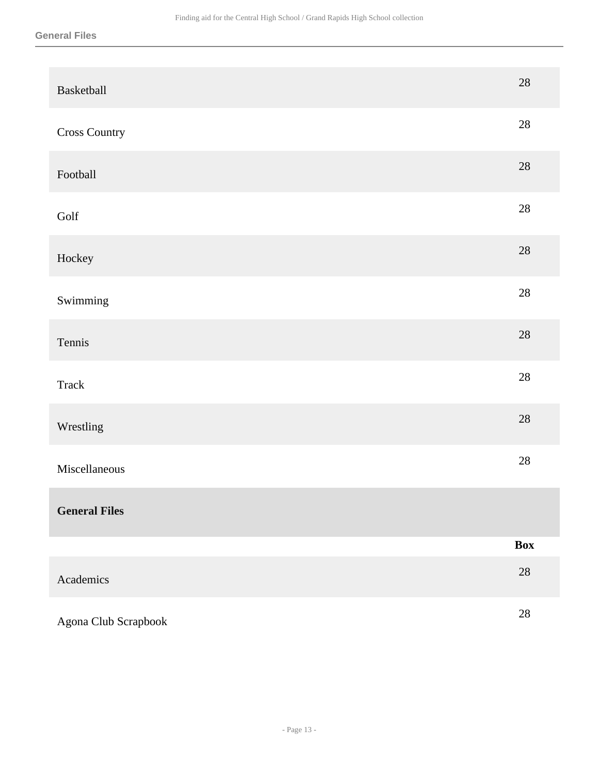| Basketball           | $28\,$     |
|----------------------|------------|
| <b>Cross Country</b> | $28\,$     |
| Football             | $28\,$     |
| Golf                 | $28\,$     |
| Hockey               | $28\,$     |
| Swimming             | $28\,$     |
| Tennis               | $28\,$     |
| <b>Track</b>         | $28\,$     |
| Wrestling            | $28\,$     |
| Miscellaneous        | $28\,$     |
| <b>General Files</b> |            |
|                      | <b>Box</b> |
| Academics            | $28\,$     |
| Agona Club Scrapbook | $28\,$     |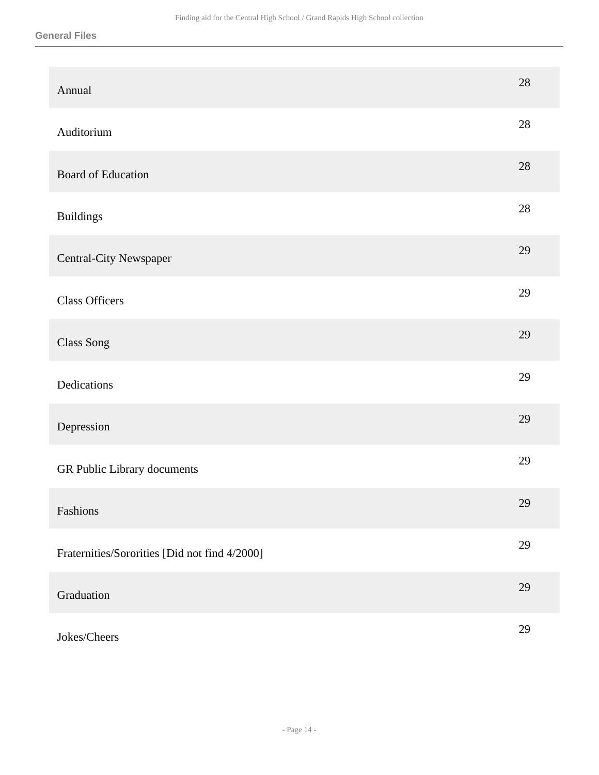| Annual                                        | 28     |
|-----------------------------------------------|--------|
| Auditorium                                    | $28\,$ |
| <b>Board of Education</b>                     | 28     |
| <b>Buildings</b>                              | 28     |
| Central-City Newspaper                        | 29     |
| <b>Class Officers</b>                         | 29     |
| Class Song                                    | 29     |
| Dedications                                   | 29     |
| Depression                                    | 29     |
| GR Public Library documents                   | 29     |
| Fashions                                      | $29\,$ |
| Fraternities/Sororities [Did not find 4/2000] | 29     |
| Graduation                                    | 29     |
| Jokes/Cheers                                  | 29     |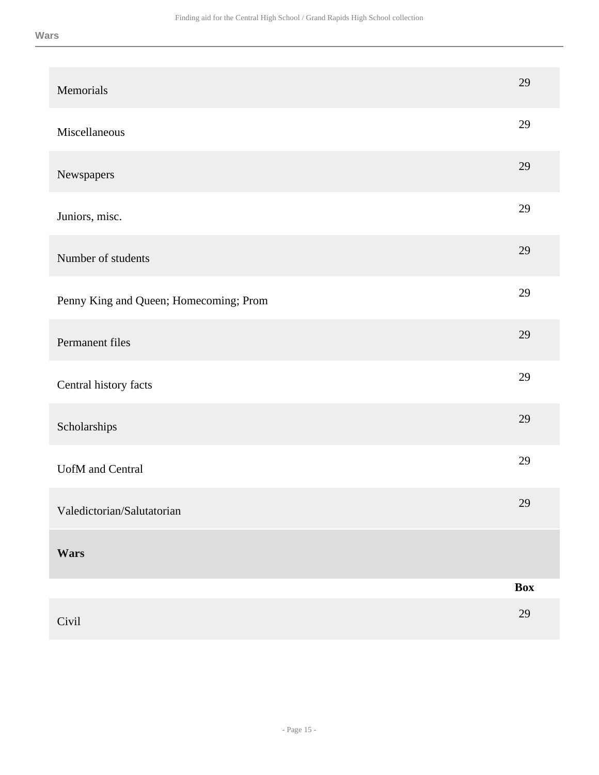| Memorials                              | 29         |
|----------------------------------------|------------|
| Miscellaneous                          | 29         |
| Newspapers                             | 29         |
| Juniors, misc.                         | 29         |
| Number of students                     | 29         |
| Penny King and Queen; Homecoming; Prom | 29         |
| Permanent files                        | 29         |
| Central history facts                  | 29         |
| Scholarships                           | 29         |
| <b>UofM</b> and Central                | 29         |
| Valedictorian/Salutatorian             | 29         |
| Wars                                   |            |
|                                        | <b>Box</b> |
| Civil                                  | 29         |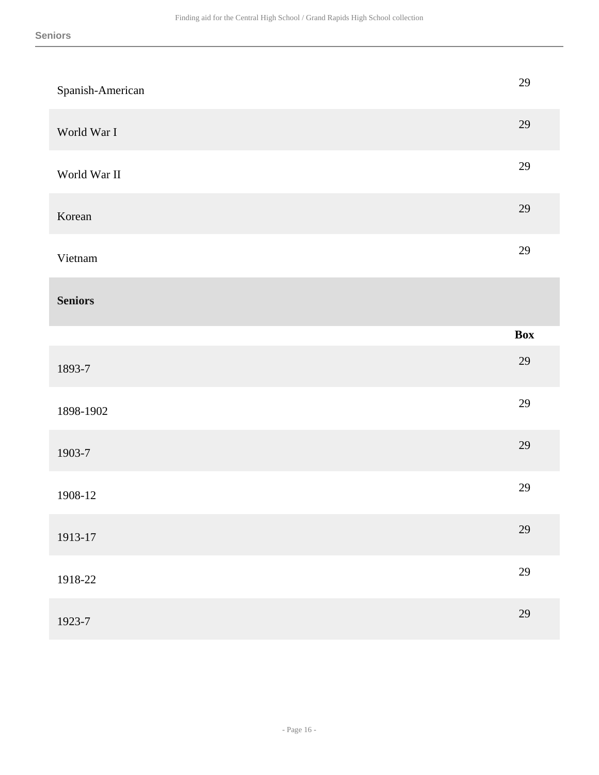| Spanish-American | 29  |
|------------------|-----|
| World War I      | 29  |
| World War II     | 29  |
| Korean           | 29  |
| Vietnam          | 29  |
| <b>Seniors</b>   |     |
|                  | Box |
| 1893-7           | 29  |
| 1898-1902        | 29  |
| 1903-7           | 29  |
| 1908-12          | 29  |
| 1913-17          | 29  |
|                  |     |
| 1918-22          | 29  |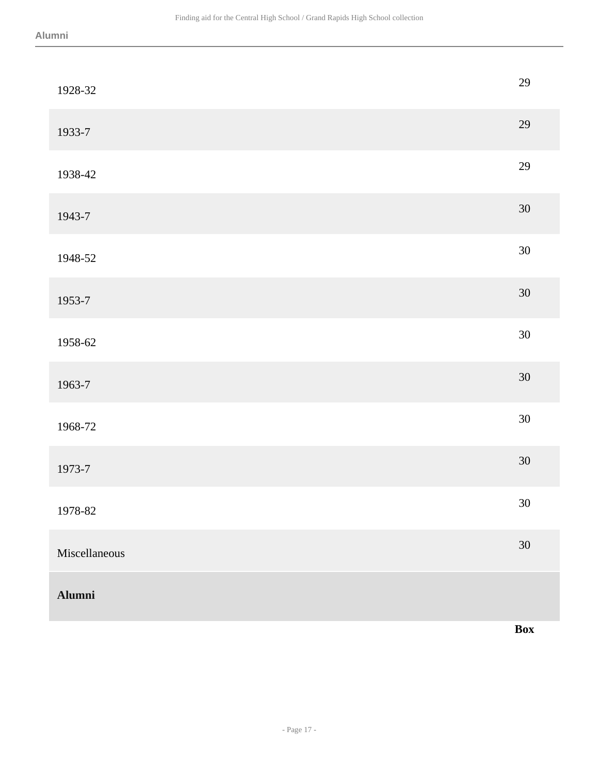| 1928-32       | 29         |
|---------------|------------|
| 1933-7        | 29         |
| 1938-42       | 29         |
| 1943-7        | $30\,$     |
| 1948-52       | $30\,$     |
| 1953-7        | $30\,$     |
| 1958-62       | $30\,$     |
| 1963-7        | $30\,$     |
| 1968-72       | $30\,$     |
| 1973-7        | $30\,$     |
| 1978-82       | $30\,$     |
| Miscellaneous | $30\,$     |
| <b>Alumni</b> |            |
|               | <b>Box</b> |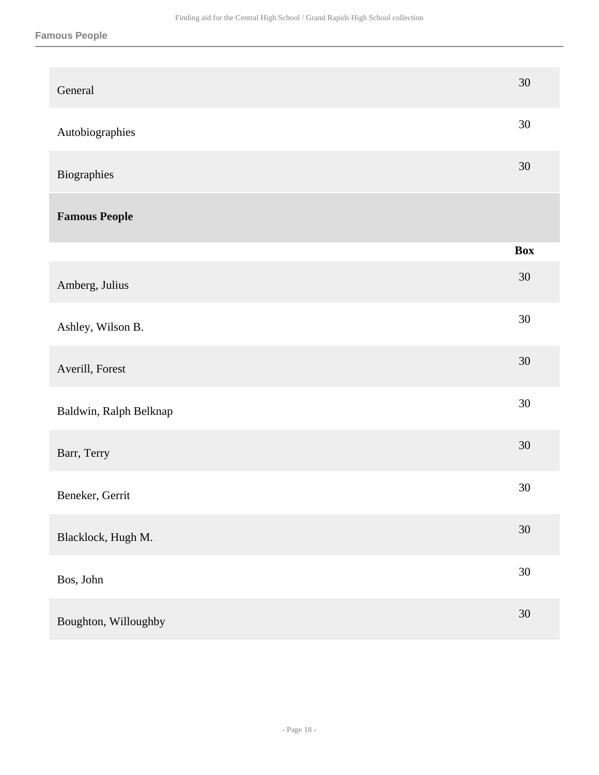| General                | 30         |
|------------------------|------------|
| Autobiographies        | $30\,$     |
| Biographies            | 30         |
| <b>Famous People</b>   |            |
|                        | <b>Box</b> |
| Amberg, Julius         | $30\,$     |
| Ashley, Wilson B.      | 30         |
| Averill, Forest        | $30\,$     |
| Baldwin, Ralph Belknap | $30\,$     |
| Barr, Terry            | $30\,$     |
| Beneker, Gerrit        | $30\,$     |
| Blacklock, Hugh M.     | $30\,$     |
| Bos, John              | 30         |
| Boughton, Willoughby   | $30\,$     |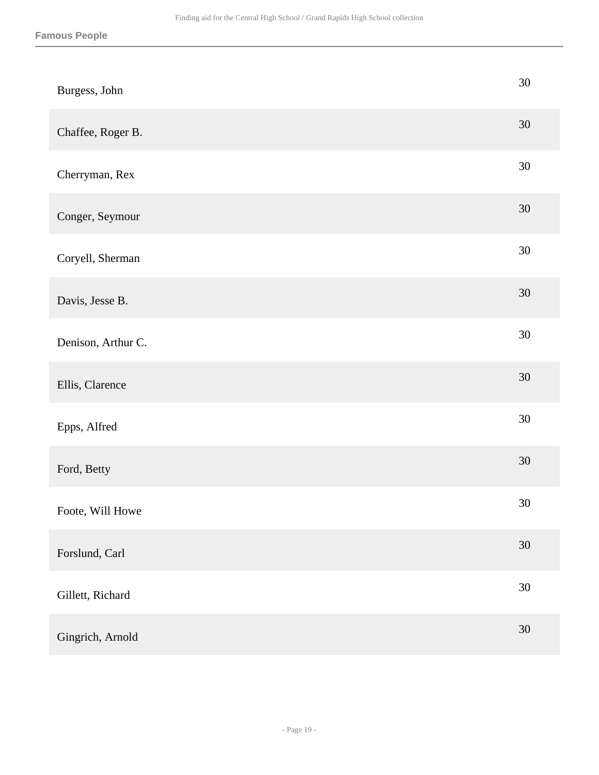| Burgess, John      | 30     |
|--------------------|--------|
| Chaffee, Roger B.  | $30\,$ |
| Cherryman, Rex     | $30\,$ |
| Conger, Seymour    | $30\,$ |
| Coryell, Sherman   | $30\,$ |
| Davis, Jesse B.    | $30\,$ |
| Denison, Arthur C. | $30\,$ |
| Ellis, Clarence    | $30\,$ |
| Epps, Alfred       | $30\,$ |
| Ford, Betty        | $30\,$ |
| Foote, Will Howe   | $30\,$ |
| Forslund, Carl     | $30\,$ |
| Gillett, Richard   | 30     |
| Gingrich, Arnold   | $30\,$ |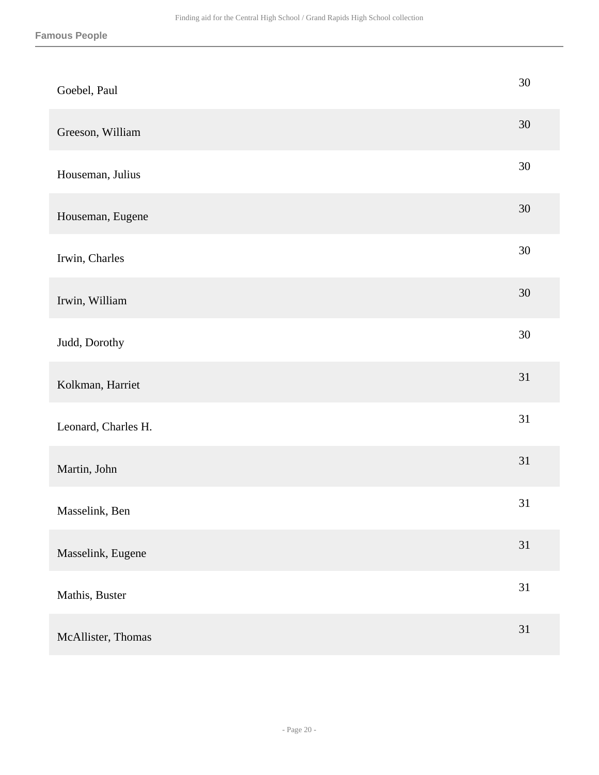| Goebel, Paul        | $30\,$ |
|---------------------|--------|
| Greeson, William    | $30\,$ |
| Houseman, Julius    | $30\,$ |
| Houseman, Eugene    | $30\,$ |
| Irwin, Charles      | $30\,$ |
| Irwin, William      | $30\,$ |
| Judd, Dorothy       | $30\,$ |
| Kolkman, Harriet    | 31     |
| Leonard, Charles H. | 31     |
| Martin, John        | 31     |
| Masselink, Ben      | 31     |
| Masselink, Eugene   | 31     |
| Mathis, Buster      | 31     |
| McAllister, Thomas  | 31     |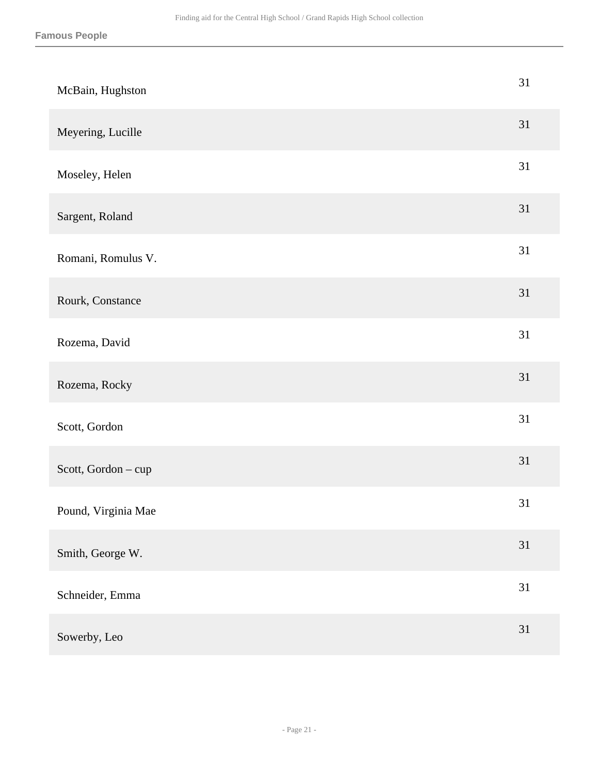| McBain, Hughston    | 31 |
|---------------------|----|
| Meyering, Lucille   | 31 |
| Moseley, Helen      | 31 |
| Sargent, Roland     | 31 |
| Romani, Romulus V.  | 31 |
| Rourk, Constance    | 31 |
| Rozema, David       | 31 |
| Rozema, Rocky       | 31 |
| Scott, Gordon       | 31 |
| Scott, Gordon - cup | 31 |
| Pound, Virginia Mae | 31 |
| Smith, George W.    | 31 |
| Schneider, Emma     | 31 |
| Sowerby, Leo        | 31 |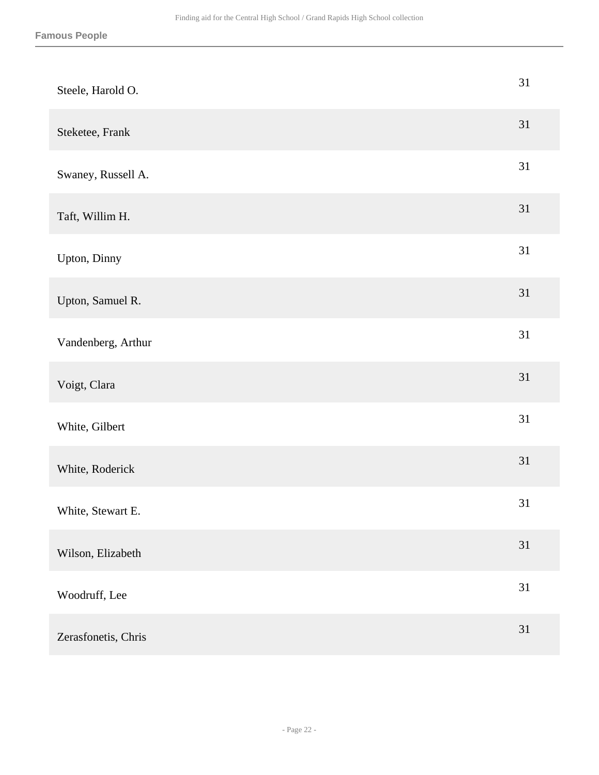| Steele, Harold O.   | 31     |
|---------------------|--------|
| Steketee, Frank     | 31     |
| Swaney, Russell A.  | 31     |
| Taft, Willim H.     | 31     |
| Upton, Dinny        | 31     |
| Upton, Samuel R.    | 31     |
| Vandenberg, Arthur  | 31     |
| Voigt, Clara        | 31     |
| White, Gilbert      | 31     |
| White, Roderick     | $31\,$ |
| White, Stewart E.   | 31     |
| Wilson, Elizabeth   | 31     |
| Woodruff, Lee       | 31     |
| Zerasfonetis, Chris | 31     |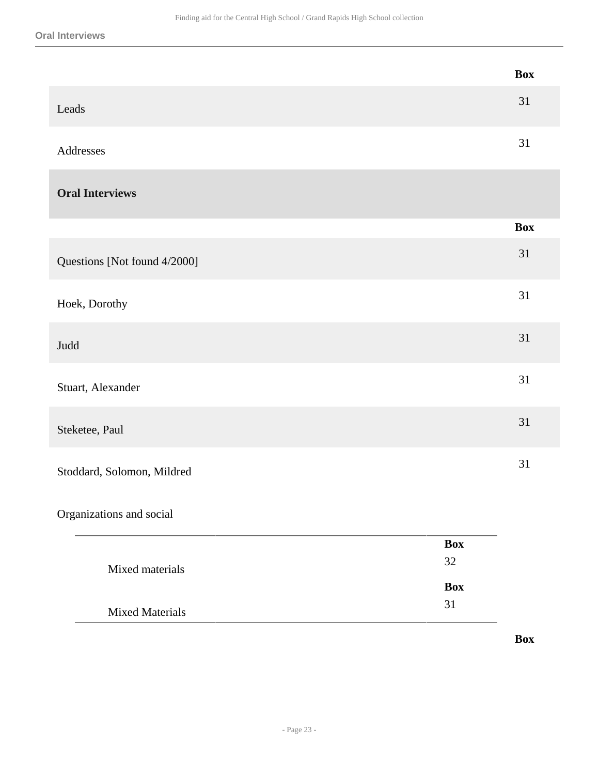#### **Oral Interviews**

 $\overline{\phantom{a}}$ 

|                              | <b>Box</b> |
|------------------------------|------------|
| Leads                        | 31         |
| Addresses                    | 31         |
| <b>Oral Interviews</b>       |            |
|                              | <b>Box</b> |
| Questions [Not found 4/2000] | 31         |
| Hoek, Dorothy                | 31         |
| Judd                         | 31         |
| Stuart, Alexander            | 31         |
| Steketee, Paul               | 31         |
| Stoddard, Solomon, Mildred   | 31         |
| Organizations and social     |            |

|                        | <b>Box</b> |
|------------------------|------------|
| Mixed materials        | 32         |
|                        | <b>Box</b> |
| <b>Mixed Materials</b> | 31         |

**Box**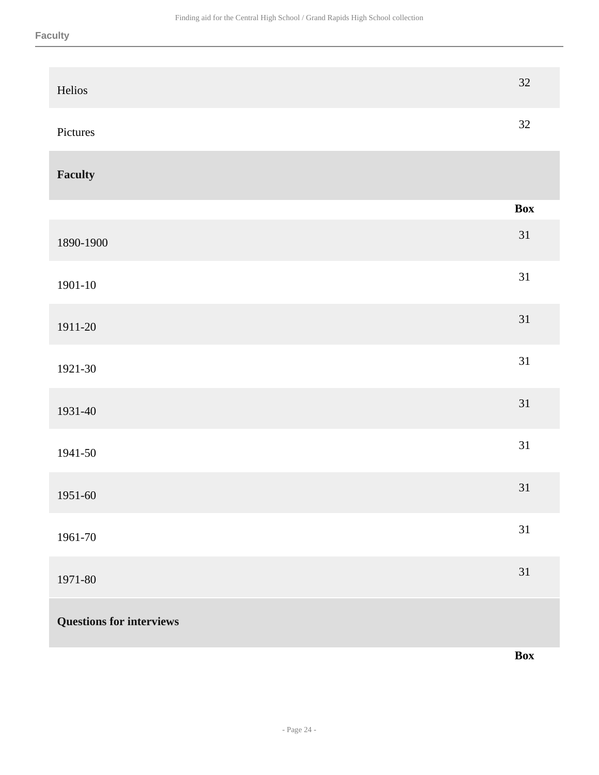| Helios                          | $32\,$         |
|---------------------------------|----------------|
| Pictures                        | 32             |
| <b>Faculty</b>                  |                |
|                                 | $\mathbf{Box}$ |
| 1890-1900                       | 31             |
| 1901-10                         | 31             |
| 1911-20                         | 31             |
| 1921-30                         | 31             |
| 1931-40                         | 31             |
| 1941-50                         | 31             |
| 1951-60                         | 31             |
| 1961-70                         | 31             |
| 1971-80                         | 31             |
| <b>Questions for interviews</b> |                |
|                                 | Box            |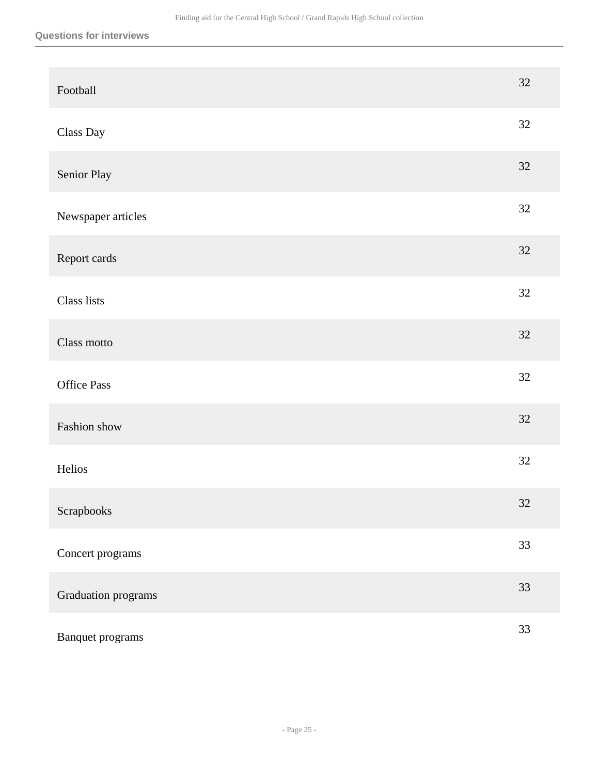| Football            | $32\,$ |
|---------------------|--------|
| Class Day           | 32     |
| Senior Play         | 32     |
| Newspaper articles  | 32     |
| Report cards        | $32\,$ |
| Class lists         | 32     |
| Class motto         | 32     |
| <b>Office Pass</b>  | 32     |
| Fashion show        | 32     |
| Helios              | 32     |
| Scrapbooks          | $32\,$ |
| Concert programs    | 33     |
| Graduation programs | 33     |
| Banquet programs    | 33     |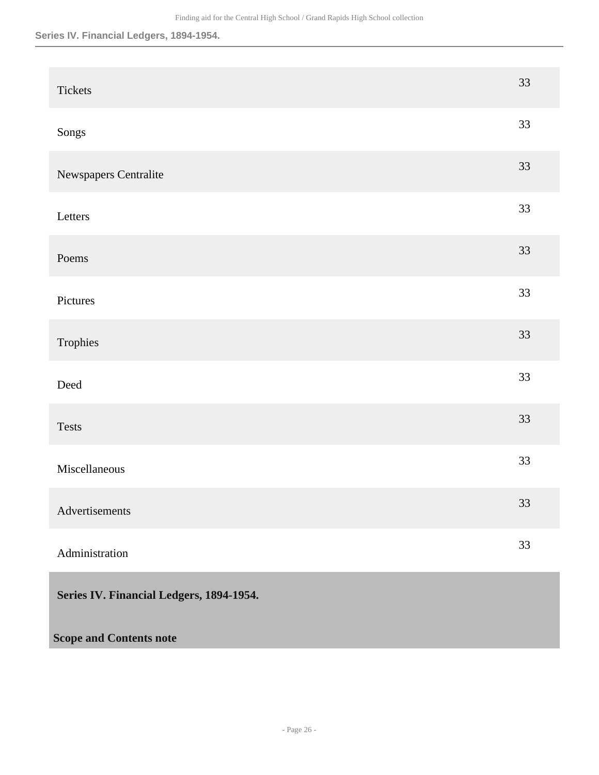## **Series IV. Financial Ledgers, 1894-1954.**

<span id="page-25-0"></span>

| Tickets                                  | 33 |
|------------------------------------------|----|
| Songs                                    | 33 |
| Newspapers Centralite                    | 33 |
| Letters                                  | 33 |
| Poems                                    | 33 |
| Pictures                                 | 33 |
| Trophies                                 | 33 |
| Deed                                     | 33 |
| Tests                                    | 33 |
| Miscellaneous                            | 33 |
| Advertisements                           | 33 |
| Administration                           | 33 |
| Series IV. Financial Ledgers, 1894-1954. |    |
| <b>Scope and Contents note</b>           |    |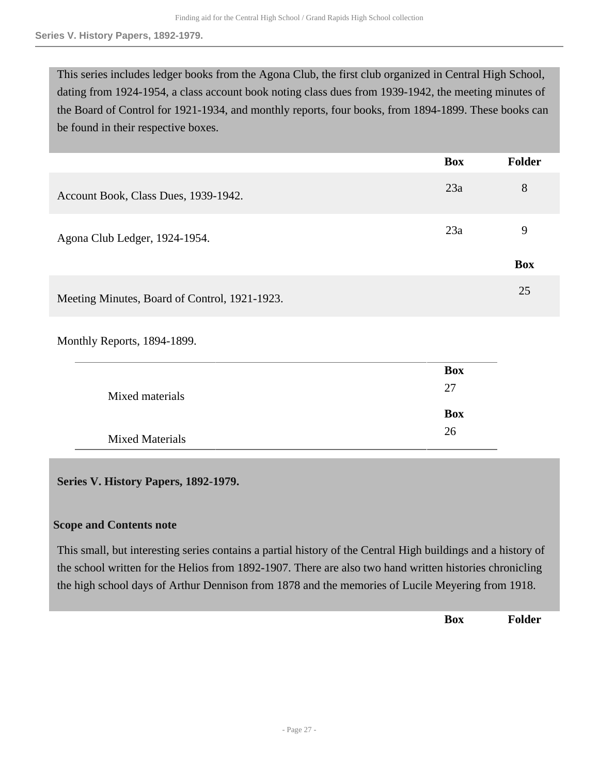This series includes ledger books from the Agona Club, the first club organized in Central High School, dating from 1924-1954, a class account book noting class dues from 1939-1942, the meeting minutes of the Board of Control for 1921-1934, and monthly reports, four books, from 1894-1899. These books can be found in their respective boxes.

|                                               | <b>Box</b> | Folder     |
|-----------------------------------------------|------------|------------|
| Account Book, Class Dues, 1939-1942.          | 23a        | 8          |
| Agona Club Ledger, 1924-1954.                 | 23a        | 9          |
|                                               |            | <b>Box</b> |
| Meeting Minutes, Board of Control, 1921-1923. |            | 25         |

Monthly Reports, 1894-1899.

|                        | <b>Box</b> |
|------------------------|------------|
| Mixed materials        | 27         |
|                        | <b>Box</b> |
| <b>Mixed Materials</b> | 26         |

## <span id="page-26-0"></span>**Series V. History Papers, 1892-1979.**

## **Scope and Contents note**

This small, but interesting series contains a partial history of the Central High buildings and a history of the school written for the Helios from 1892-1907. There are also two hand written histories chronicling the high school days of Arthur Dennison from 1878 and the memories of Lucile Meyering from 1918.

**Box Folder**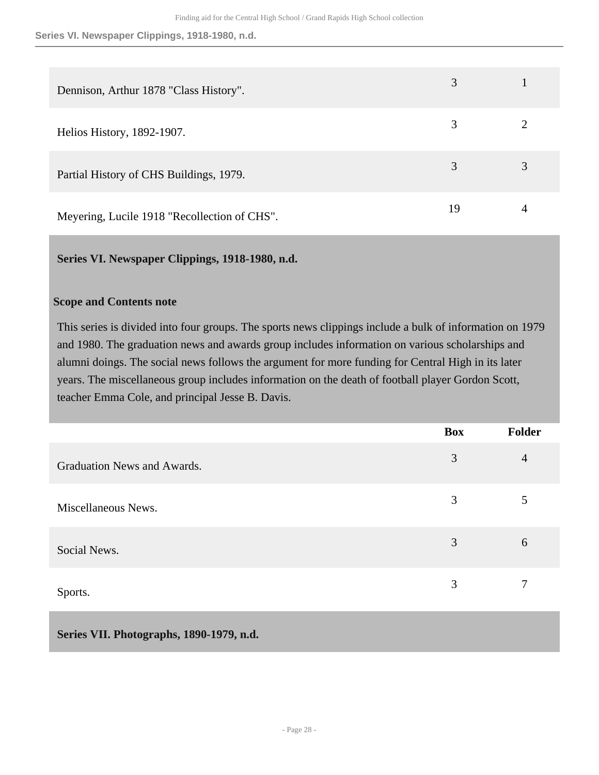**Series VI. Newspaper Clippings, 1918-1980, n.d.**

| Dennison, Arthur 1878 "Class History".       | 3  |   |
|----------------------------------------------|----|---|
| Helios History, 1892-1907.                   | 3  |   |
| Partial History of CHS Buildings, 1979.      | 3  | 3 |
| Meyering, Lucile 1918 "Recollection of CHS". | 19 | 4 |

## <span id="page-27-0"></span>**Series VI. Newspaper Clippings, 1918-1980, n.d.**

## **Scope and Contents note**

This series is divided into four groups. The sports news clippings include a bulk of information on 1979 and 1980. The graduation news and awards group includes information on various scholarships and alumni doings. The social news follows the argument for more funding for Central High in its later years. The miscellaneous group includes information on the death of football player Gordon Scott, teacher Emma Cole, and principal Jesse B. Davis.

|                             | <b>Box</b> | <b>Folder</b>  |
|-----------------------------|------------|----------------|
| Graduation News and Awards. | 3          | $\overline{4}$ |
| Miscellaneous News.         | 3          | 5              |
| Social News.                | 3          | 6              |
| Sports.                     | 3          | 7              |

<span id="page-27-1"></span>**Series VII. Photographs, 1890-1979, n.d.**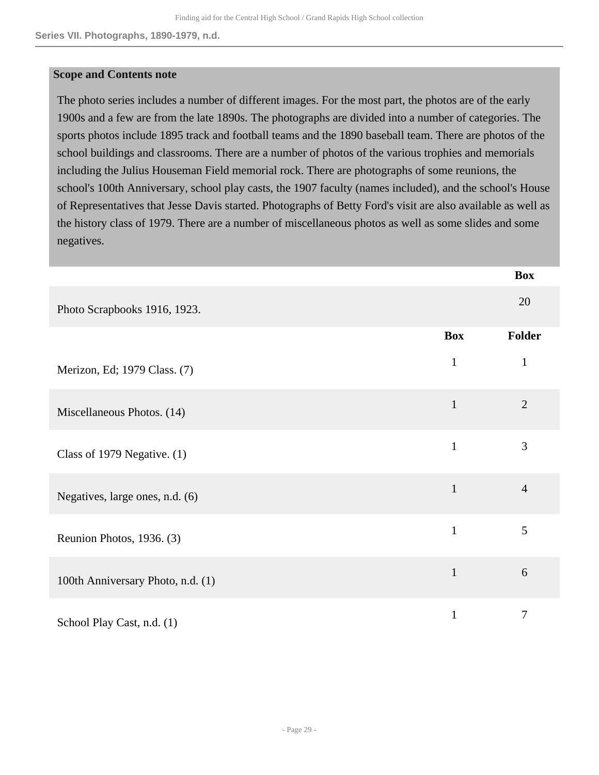#### **Scope and Contents note**

The photo series includes a number of different images. For the most part, the photos are of the early 1900s and a few are from the late 1890s. The photographs are divided into a number of categories. The sports photos include 1895 track and football teams and the 1890 baseball team. There are photos of the school buildings and classrooms. There are a number of photos of the various trophies and memorials including the Julius Houseman Field memorial rock. There are photographs of some reunions, the school's 100th Anniversary, school play casts, the 1907 faculty (names included), and the school's House of Representatives that Jesse Davis started. Photographs of Betty Ford's visit are also available as well as the history class of 1979. There are a number of miscellaneous photos as well as some slides and some negatives.

|                                   |              | <b>Box</b>     |
|-----------------------------------|--------------|----------------|
| Photo Scrapbooks 1916, 1923.      |              | 20             |
|                                   | <b>Box</b>   | Folder         |
| Merizon, Ed; 1979 Class. (7)      | $\mathbf{1}$ | $\mathbf{1}$   |
| Miscellaneous Photos. (14)        | $\mathbf{1}$ | $\overline{2}$ |
| Class of 1979 Negative. $(1)$     | $\mathbf{1}$ | 3              |
| Negatives, large ones, n.d. (6)   | $\mathbf 1$  | $\overline{4}$ |
| Reunion Photos, 1936. (3)         | $\mathbf{1}$ | 5              |
| 100th Anniversary Photo, n.d. (1) | $\mathbf{1}$ | 6              |
| School Play Cast, n.d. (1)        | $\mathbf{1}$ | 7              |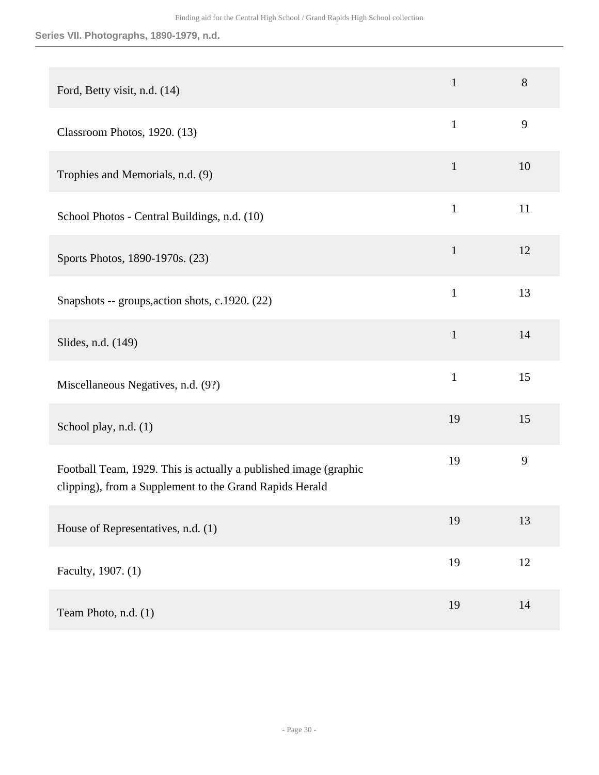## **Series VII. Photographs, 1890-1979, n.d.**

| Ford, Betty visit, n.d. (14)                                                                                                | $\mathbf{1}$ | 8  |
|-----------------------------------------------------------------------------------------------------------------------------|--------------|----|
| Classroom Photos, 1920. (13)                                                                                                | $\mathbf{1}$ | 9  |
| Trophies and Memorials, n.d. (9)                                                                                            | $\mathbf{1}$ | 10 |
| School Photos - Central Buildings, n.d. (10)                                                                                | $\mathbf{1}$ | 11 |
| Sports Photos, 1890-1970s. (23)                                                                                             | $\mathbf{1}$ | 12 |
| Snapshots -- groups, action shots, c.1920. (22)                                                                             | $\mathbf{1}$ | 13 |
| Slides, n.d. (149)                                                                                                          | $\mathbf{1}$ | 14 |
| Miscellaneous Negatives, n.d. (9?)                                                                                          | $\mathbf{1}$ | 15 |
| School play, n.d. (1)                                                                                                       | 19           | 15 |
| Football Team, 1929. This is actually a published image (graphic<br>clipping), from a Supplement to the Grand Rapids Herald | 19           | 9  |
| House of Representatives, n.d. (1)                                                                                          | 19           | 13 |
| Faculty, 1907. (1)                                                                                                          | 19           | 12 |
| Team Photo, n.d. (1)                                                                                                        | 19           | 14 |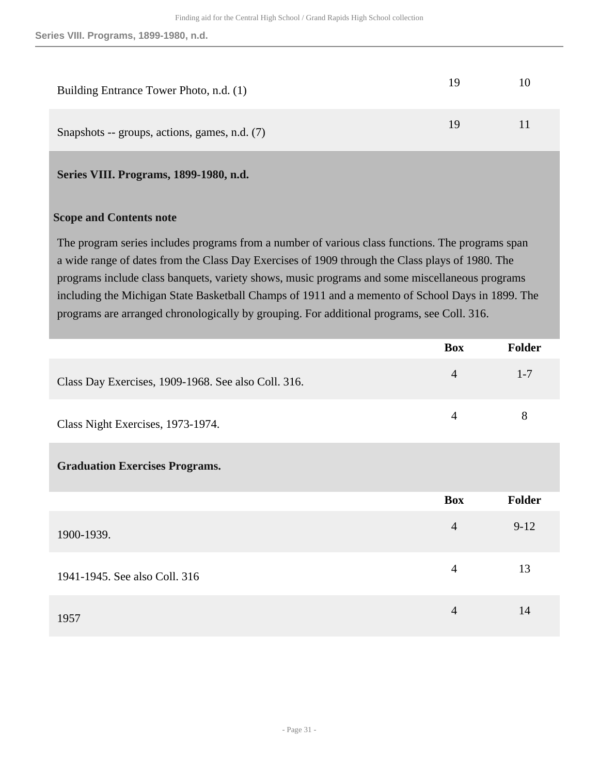| Building Entrance Tower Photo, n.d. (1)       | 19 | $\mathbf{I}(\mathbf{I})$ |
|-----------------------------------------------|----|--------------------------|
| Snapshots -- groups, actions, games, n.d. (7) | 19 | 11                       |

## <span id="page-30-0"></span>**Series VIII. Programs, 1899-1980, n.d.**

#### **Scope and Contents note**

The program series includes programs from a number of various class functions. The programs span a wide range of dates from the Class Day Exercises of 1909 through the Class plays of 1980. The programs include class banquets, variety shows, music programs and some miscellaneous programs including the Michigan State Basketball Champs of 1911 and a memento of School Days in 1899. The programs are arranged chronologically by grouping. For additional programs, see Coll. 316.

|                                                     | <b>Box</b>     | Folder  |
|-----------------------------------------------------|----------------|---------|
| Class Day Exercises, 1909-1968. See also Coll. 316. | $\overline{4}$ | $1 - 7$ |
| Class Night Exercises, 1973-1974.                   | $\overline{4}$ | 8       |
| <b>Graduation Exercises Programs.</b>               |                |         |
|                                                     | <b>Box</b>     | Folder  |
| 1900-1939.                                          | $\overline{4}$ | $9-12$  |
| 1941-1945. See also Coll. 316                       | $\overline{4}$ | 13      |
| 1957                                                | $\overline{4}$ | 14      |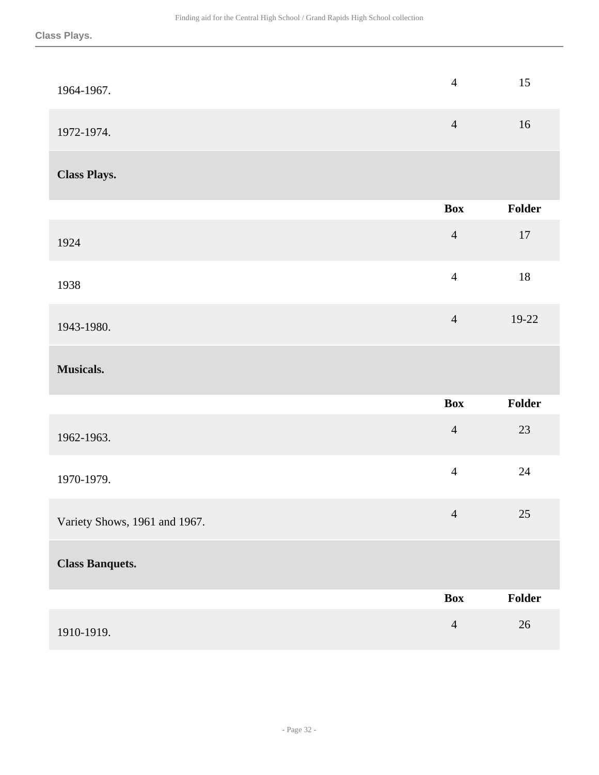| 1964-1967.                    | $\overline{4}$ | 15     |
|-------------------------------|----------------|--------|
| 1972-1974.                    | $\overline{4}$ | 16     |
| <b>Class Plays.</b>           |                |        |
|                               | <b>Box</b>     | Folder |
| 1924                          | $\overline{4}$ | $17\,$ |
| 1938                          | $\overline{4}$ | 18     |
| 1943-1980.                    | $\overline{4}$ | 19-22  |
| Musicals.                     |                |        |
|                               | <b>Box</b>     | Folder |
| 1962-1963.                    | $\overline{4}$ | $23\,$ |
| 1970-1979.                    | $\overline{4}$ | 24     |
| Variety Shows, 1961 and 1967. | $\overline{4}$ | $25\,$ |
| <b>Class Banquets.</b>        |                |        |
|                               | <b>Box</b>     | Folder |
| 1910-1919.                    | $\overline{4}$ | $26\,$ |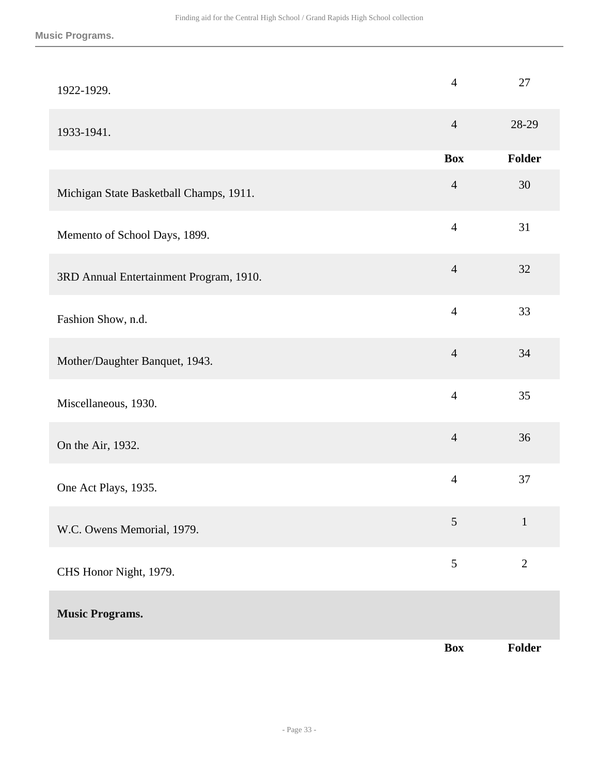| 1922-1929.                              | $\overline{4}$ | 27           |
|-----------------------------------------|----------------|--------------|
| 1933-1941.                              | $\overline{4}$ | 28-29        |
|                                         | <b>Box</b>     | Folder       |
| Michigan State Basketball Champs, 1911. | $\overline{4}$ | 30           |
| Memento of School Days, 1899.           | $\overline{4}$ | 31           |
| 3RD Annual Entertainment Program, 1910. | $\overline{4}$ | 32           |
| Fashion Show, n.d.                      | $\overline{4}$ | 33           |
| Mother/Daughter Banquet, 1943.          | $\overline{4}$ | 34           |
| Miscellaneous, 1930.                    | $\overline{4}$ | 35           |
| On the Air, 1932.                       | $\overline{4}$ | 36           |
| One Act Plays, 1935.                    | $\overline{4}$ | 37           |
| W.C. Owens Memorial, 1979.              | 5              | $\mathbf{1}$ |
| CHS Honor Night, 1979.                  | 5              | $\mathbf{2}$ |
| <b>Music Programs.</b>                  |                |              |
|                                         | <b>Box</b>     | Folder       |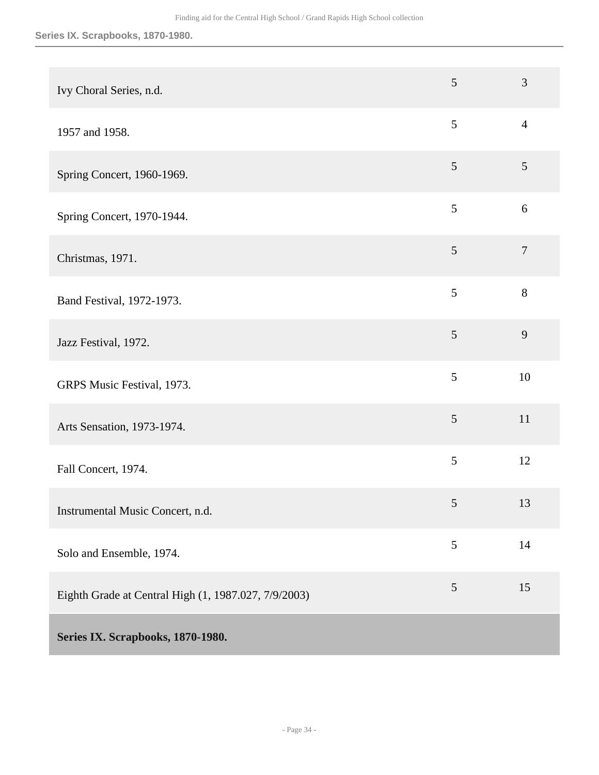<span id="page-33-0"></span>

| Ivy Choral Series, n.d.                              | 5               | 3              |
|------------------------------------------------------|-----------------|----------------|
| 1957 and 1958.                                       | 5               | $\overline{4}$ |
| Spring Concert, 1960-1969.                           | 5               | 5              |
| Spring Concert, 1970-1944.                           | $\mathfrak{S}$  | 6              |
| Christmas, 1971.                                     | 5               | $\tau$         |
| Band Festival, 1972-1973.                            | 5               | 8              |
| Jazz Festival, 1972.                                 | 5               | 9              |
| GRPS Music Festival, 1973.                           | 5               | 10             |
| Arts Sensation, 1973-1974.                           | $\mathfrak{S}$  | 11             |
| Fall Concert, 1974.                                  | 5               | 12             |
| Instrumental Music Concert, n.d.                     | $5\overline{)}$ | 13             |
| Solo and Ensemble, 1974.                             | $\mathfrak{S}$  | $14$           |
| Eighth Grade at Central High (1, 1987.027, 7/9/2003) | $\mathfrak{S}$  | 15             |
| Series IX. Scrapbooks, 1870-1980.                    |                 |                |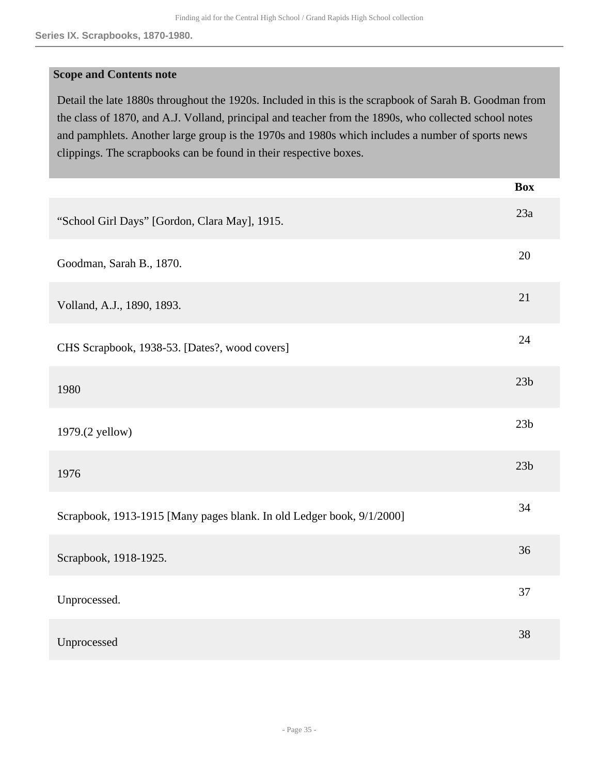### **Scope and Contents note**

Detail the late 1880s throughout the 1920s. Included in this is the scrapbook of Sarah B. Goodman from the class of 1870, and A.J. Volland, principal and teacher from the 1890s, who collected school notes and pamphlets. Another large group is the 1970s and 1980s which includes a number of sports news clippings. The scrapbooks can be found in their respective boxes.

|                                                                       | <b>Box</b>      |
|-----------------------------------------------------------------------|-----------------|
| "School Girl Days" [Gordon, Clara May], 1915.                         | 23a             |
| Goodman, Sarah B., 1870.                                              | 20              |
| Volland, A.J., 1890, 1893.                                            | 21              |
| CHS Scrapbook, 1938-53. [Dates?, wood covers]                         | 24              |
| 1980                                                                  | 23 <sub>b</sub> |
| 1979.(2 yellow)                                                       | 23 <sub>b</sub> |
| 1976                                                                  | 23 <sub>b</sub> |
| Scrapbook, 1913-1915 [Many pages blank. In old Ledger book, 9/1/2000] | 34              |
| Scrapbook, 1918-1925.                                                 | 36              |
| Unprocessed.                                                          | 37              |
| Unprocessed                                                           | 38              |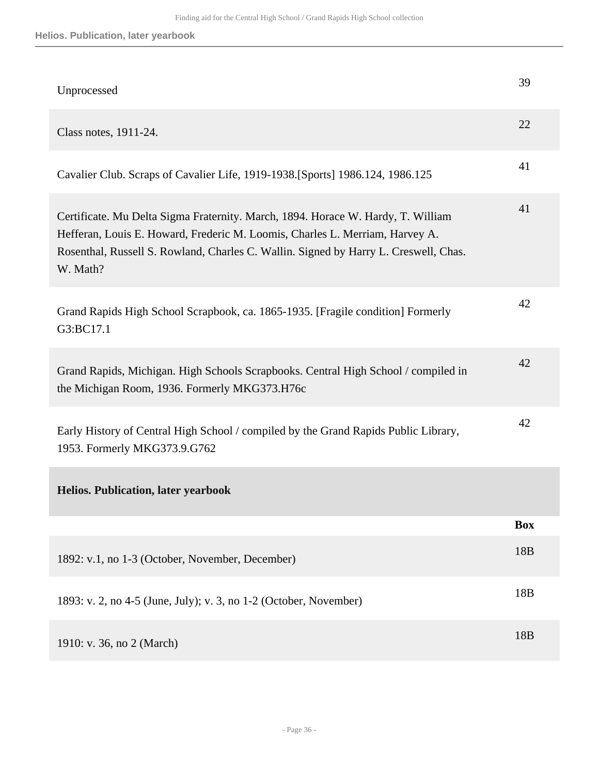| Unprocessed                                                                                                                                                                                                                                                          | 39              |
|----------------------------------------------------------------------------------------------------------------------------------------------------------------------------------------------------------------------------------------------------------------------|-----------------|
| Class notes, 1911-24.                                                                                                                                                                                                                                                | 22              |
| Cavalier Club. Scraps of Cavalier Life, 1919-1938. [Sports] 1986.124, 1986.125                                                                                                                                                                                       | 41              |
| Certificate. Mu Delta Sigma Fraternity. March, 1894. Horace W. Hardy, T. William<br>Hefferan, Louis E. Howard, Frederic M. Loomis, Charles L. Merriam, Harvey A.<br>Rosenthal, Russell S. Rowland, Charles C. Wallin. Signed by Harry L. Creswell, Chas.<br>W. Math? | 41              |
| Grand Rapids High School Scrapbook, ca. 1865-1935. [Fragile condition] Formerly<br>G3:BC17.1                                                                                                                                                                         | 42              |
| Grand Rapids, Michigan. High Schools Scrapbooks. Central High School / compiled in<br>the Michigan Room, 1936. Formerly MKG373.H76c                                                                                                                                  | 42              |
| Early History of Central High School / compiled by the Grand Rapids Public Library,<br>1953. Formerly MKG373.9.G762                                                                                                                                                  | 42              |
| <b>Helios. Publication, later yearbook</b>                                                                                                                                                                                                                           |                 |
|                                                                                                                                                                                                                                                                      | <b>Box</b>      |
| 1892: v.1, no 1-3 (October, November, December)                                                                                                                                                                                                                      | 18 <sub>B</sub> |
| 1893: v. 2, no 4-5 (June, July); v. 3, no 1-2 (October, November)                                                                                                                                                                                                    | 18 <sub>B</sub> |
| 1910: v. 36, no 2 (March)                                                                                                                                                                                                                                            | 18 <sub>B</sub> |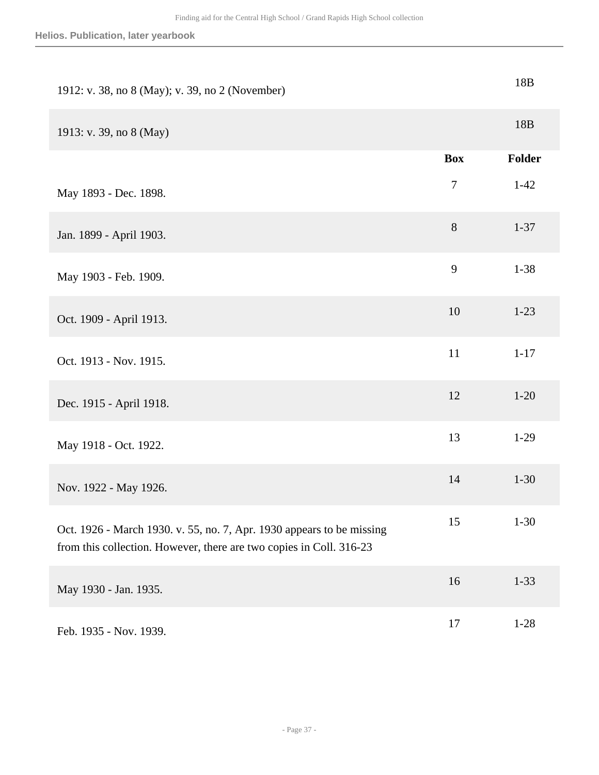| 1912: v. 38, no 8 (May); v. 39, no 2 (November)                                                                                              |            | 18B             |
|----------------------------------------------------------------------------------------------------------------------------------------------|------------|-----------------|
| 1913: v. 39, no 8 (May)                                                                                                                      |            | 18 <sub>B</sub> |
|                                                                                                                                              | <b>Box</b> | Folder          |
| May 1893 - Dec. 1898.                                                                                                                        | $\tau$     | $1-42$          |
| Jan. 1899 - April 1903.                                                                                                                      | $8\,$      | $1 - 37$        |
| May 1903 - Feb. 1909.                                                                                                                        | 9          | $1 - 38$        |
| Oct. 1909 - April 1913.                                                                                                                      | 10         | $1 - 23$        |
| Oct. 1913 - Nov. 1915.                                                                                                                       | 11         | $1 - 17$        |
| Dec. 1915 - April 1918.                                                                                                                      | 12         | $1 - 20$        |
| May 1918 - Oct. 1922.                                                                                                                        | 13         | $1-29$          |
| Nov. 1922 - May 1926.                                                                                                                        | 14         | $1 - 30$        |
| Oct. 1926 - March 1930. v. 55, no. 7, Apr. 1930 appears to be missing<br>from this collection. However, there are two copies in Coll. 316-23 | 15         | $1 - 30$        |
| May 1930 - Jan. 1935.                                                                                                                        | 16         | $1 - 33$        |
| Feb. 1935 - Nov. 1939.                                                                                                                       | 17         | $1 - 28$        |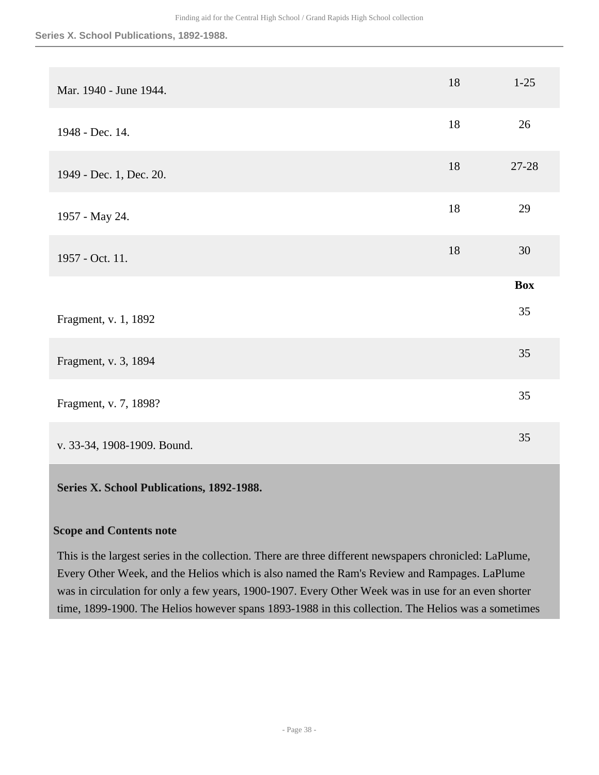#### **Series X. School Publications, 1892-1988.**

| Mar. 1940 - June 1944.      | 18 | $1-25$     |
|-----------------------------|----|------------|
| 1948 - Dec. 14.             | 18 | 26         |
| 1949 - Dec. 1, Dec. 20.     | 18 | 27-28      |
| 1957 - May 24.              | 18 | 29         |
| 1957 - Oct. 11.             | 18 | 30         |
|                             |    | <b>Box</b> |
| Fragment, v. 1, 1892        |    | 35         |
| Fragment, v. 3, 1894        |    | 35         |
| Fragment, v. 7, 1898?       |    | 35         |
| v. 33-34, 1908-1909. Bound. |    | 35         |

## <span id="page-37-0"></span>**Series X. School Publications, 1892-1988.**

## **Scope and Contents note**

This is the largest series in the collection. There are three different newspapers chronicled: LaPlume, Every Other Week, and the Helios which is also named the Ram's Review and Rampages. LaPlume was in circulation for only a few years, 1900-1907. Every Other Week was in use for an even shorter time, 1899-1900. The Helios however spans 1893-1988 in this collection. The Helios was a sometimes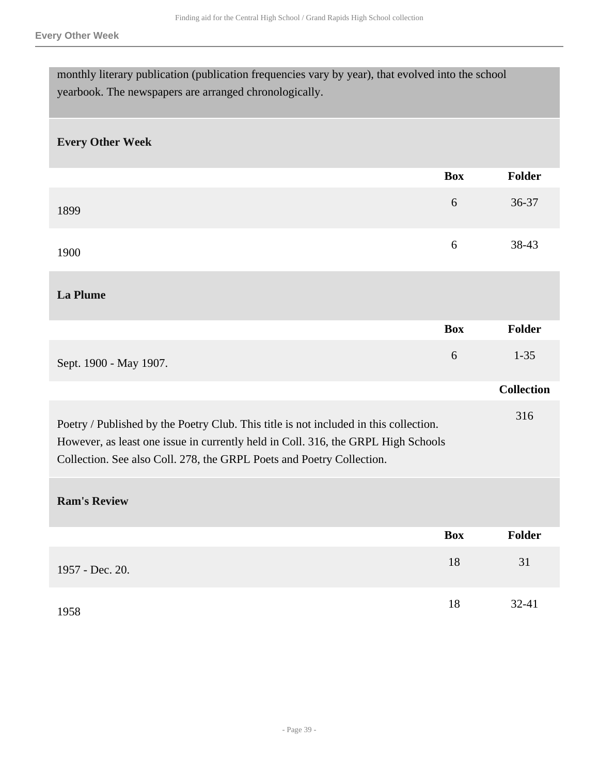| monthly literary publication (publication frequencies vary by year), that evolved into the school<br>yearbook. The newspapers are arranged chronologically.                                                                                         |            |                   |
|-----------------------------------------------------------------------------------------------------------------------------------------------------------------------------------------------------------------------------------------------------|------------|-------------------|
| <b>Every Other Week</b>                                                                                                                                                                                                                             |            |                   |
|                                                                                                                                                                                                                                                     | <b>Box</b> | <b>Folder</b>     |
| 1899                                                                                                                                                                                                                                                | 6          | 36-37             |
| 1900                                                                                                                                                                                                                                                | 6          | 38-43             |
| <b>La Plume</b>                                                                                                                                                                                                                                     |            |                   |
|                                                                                                                                                                                                                                                     | <b>Box</b> | <b>Folder</b>     |
| Sept. 1900 - May 1907.                                                                                                                                                                                                                              | 6          | $1 - 35$          |
|                                                                                                                                                                                                                                                     |            | <b>Collection</b> |
| Poetry / Published by the Poetry Club. This title is not included in this collection.<br>However, as least one issue in currently held in Coll. 316, the GRPL High Schools<br>Collection. See also Coll. 278, the GRPL Poets and Poetry Collection. |            | 316               |
| <b>Ram's Review</b>                                                                                                                                                                                                                                 |            |                   |
|                                                                                                                                                                                                                                                     | <b>Box</b> | Folder            |
| 1957 - Dec. 20.                                                                                                                                                                                                                                     | 18         | 31                |
| 1958                                                                                                                                                                                                                                                | $18\,$     | 32-41             |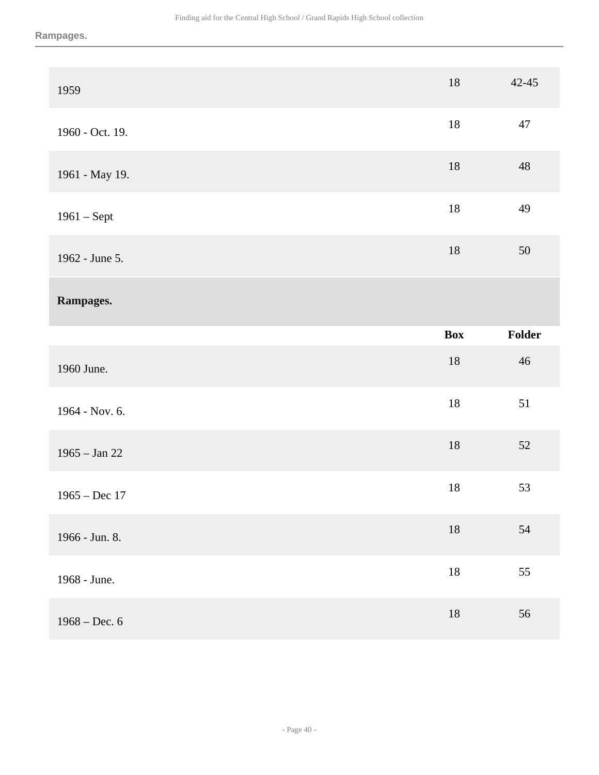**Rampages.**

| 1959            | $18\,$     | $42 - 45$   |
|-----------------|------------|-------------|
| 1960 - Oct. 19. | $18\,$     | $47\,$      |
| 1961 - May 19.  | $18\,$     | $\sqrt{48}$ |
| $1961 - Sept$   | $18\,$     | 49          |
| 1962 - June 5.  | $18\,$     | 50          |
| Rampages.       |            |             |
|                 |            |             |
|                 | <b>Box</b> | Folder      |
| 1960 June.      | $18\,$     | $46\,$      |
| 1964 - Nov. 6.  | $18\,$     | 51          |
| $1965 - Jan 22$ | $18\,$     | $52\,$      |
| $1965 - Dec 17$ | $18\,$     | 53          |
| 1966 - Jun. 8.  | $18\,$     | $54\,$      |
| 1968 - June.    | $18\,$     | 55          |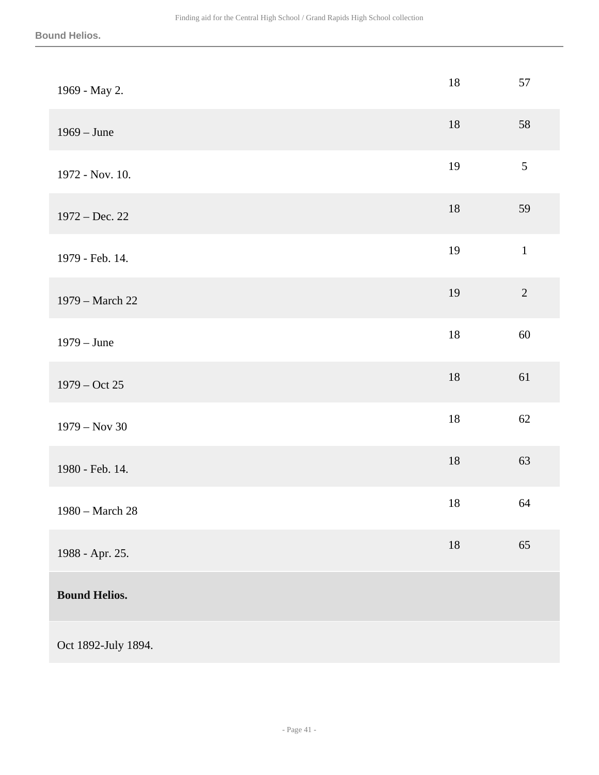| 1969 - May 2.        | $18\,$ | 57             |
|----------------------|--------|----------------|
| $1969 - June$        | 18     | 58             |
| 1972 - Nov. 10.      | 19     | $\mathfrak{S}$ |
| $1972 - Dec. 22$     | $18\,$ | 59             |
| 1979 - Feb. 14.      | 19     | $\,1\,$        |
| 1979 - March 22      | 19     | $\sqrt{2}$     |
| $1979 - June$        | $18\,$ | $60\,$         |
| $1979 - Oct 25$      | 18     | 61             |
| $1979 - Nov 30$      | $18\,$ | 62             |
| 1980 - Feb. 14.      | $18\,$ | 63             |
| 1980 - March 28      | $18\,$ | 64             |
| 1988 - Apr. 25.      | $18\,$ | 65             |
| <b>Bound Helios.</b> |        |                |
| Oct 1892-July 1894.  |        |                |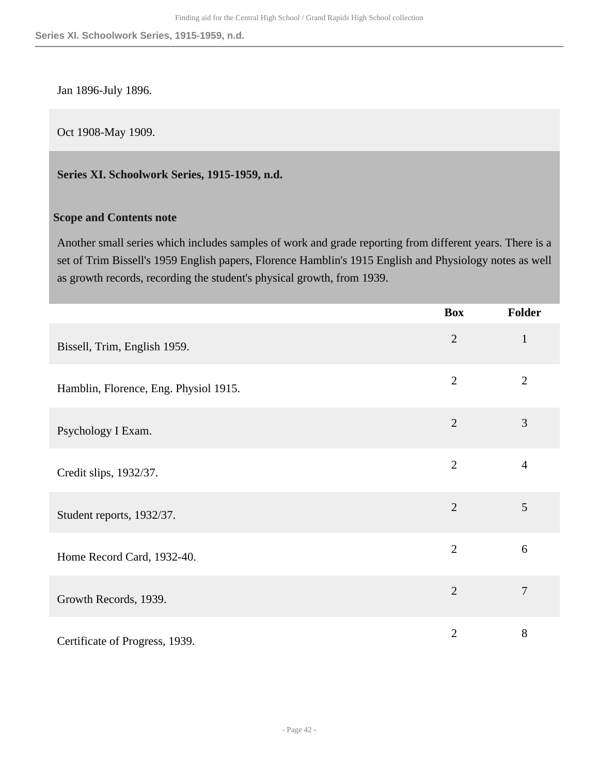Jan 1896-July 1896.

Oct 1908-May 1909.

<span id="page-41-0"></span>**Series XI. Schoolwork Series, 1915-1959, n.d.** 

## **Scope and Contents note**

Another small series which includes samples of work and grade reporting from different years. There is a set of Trim Bissell's 1959 English papers, Florence Hamblin's 1915 English and Physiology notes as well as growth records, recording the student's physical growth, from 1939.

|                                       | <b>Box</b>     | <b>Folder</b>  |
|---------------------------------------|----------------|----------------|
| Bissell, Trim, English 1959.          | $\overline{2}$ | $\mathbf{1}$   |
| Hamblin, Florence, Eng. Physiol 1915. | $\overline{2}$ | $\overline{2}$ |
| Psychology I Exam.                    | $\overline{2}$ | 3              |
| Credit slips, 1932/37.                | $\overline{2}$ | $\overline{4}$ |
| Student reports, 1932/37.             | $\overline{2}$ | 5              |
| Home Record Card, 1932-40.            | $\overline{2}$ | 6              |
| Growth Records, 1939.                 | $\overline{2}$ | $\overline{7}$ |
| Certificate of Progress, 1939.        | $\overline{2}$ | 8              |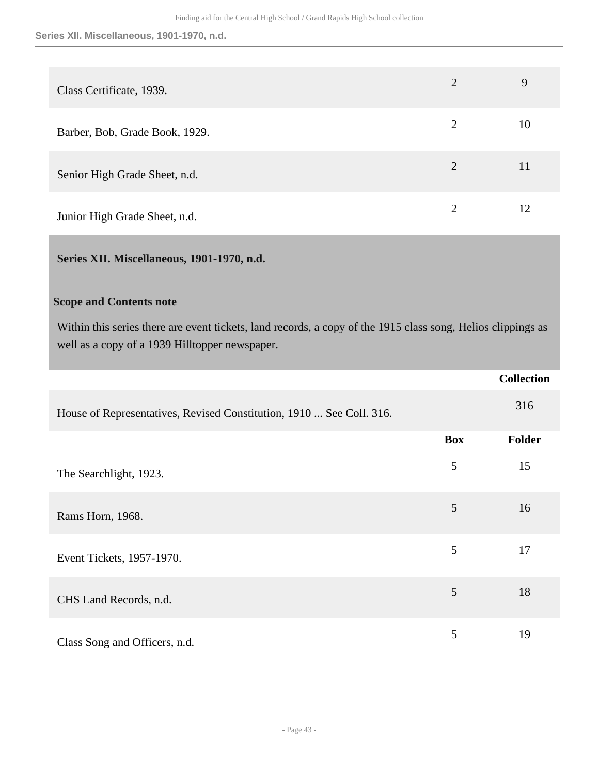| Class Certificate, 1939.       | $\overline{2}$              | 9  |
|--------------------------------|-----------------------------|----|
| Barber, Bob, Grade Book, 1929. | $\overline{2}$              | 10 |
| Senior High Grade Sheet, n.d.  | $\overline{2}$              | 11 |
| Junior High Grade Sheet, n.d.  | $\mathcal{D}_{\mathcal{L}}$ | 12 |

## <span id="page-42-0"></span>**Series XII. Miscellaneous, 1901-1970, n.d.**

## **Scope and Contents note**

Within this series there are event tickets, land records, a copy of the 1915 class song, Helios clippings as well as a copy of a 1939 Hilltopper newspaper.

|                                                                      |            | <b>Collection</b> |
|----------------------------------------------------------------------|------------|-------------------|
| House of Representatives, Revised Constitution, 1910  See Coll. 316. |            | 316               |
|                                                                      | <b>Box</b> | <b>Folder</b>     |
| The Searchlight, 1923.                                               | 5          | 15                |
| Rams Horn, 1968.                                                     | 5          | 16                |
| Event Tickets, 1957-1970.                                            | 5          | 17                |
| CHS Land Records, n.d.                                               | 5          | 18                |
| Class Song and Officers, n.d.                                        | 5          | 19                |